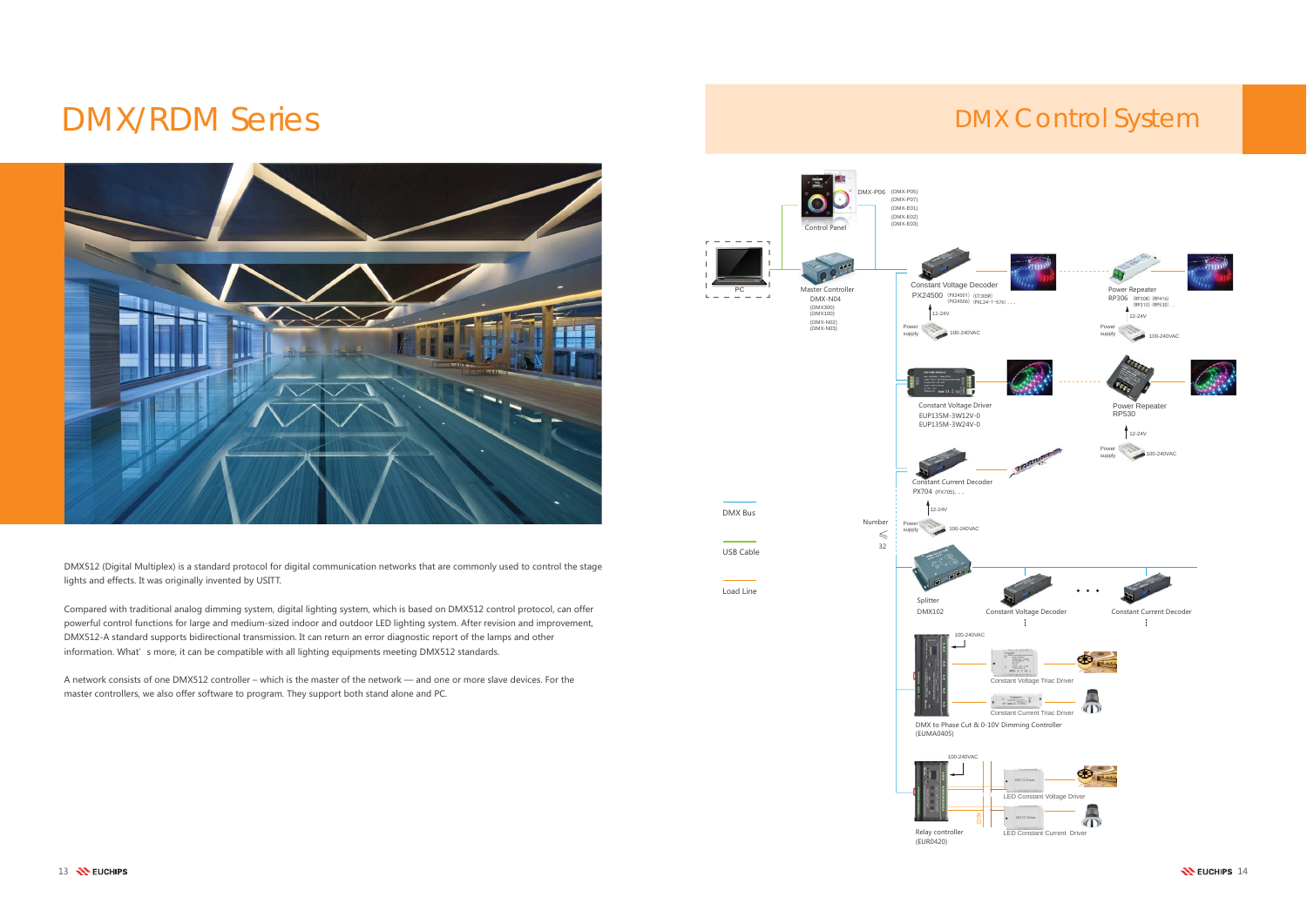# DMX/RDM Series DMX Control System



DMX512 (Digital Multiplex) is a standard protocol for digital communication networks that are commonly used to control the stage lights and effects. It was originally invented by USITT.

Compared with traditional analog dimming system, digital lighting system, which is based on DMX512 control protocol, can offer powerful control functions for large and medium-sized indoor and outdoor LED lighting system. After revision and improvement, DMX512-A standard supports bidirectional transmission. It can return an error diagnostic report of the lamps and other information. What's more, it can be compatible with all lighting equipments meeting DMX512 standards.

A network consists of one DMX512 controller – which is the master of the network — and one or more slave devices. For the master controllers, we also offer software to program. They support both stand alone and PC.



 $\frac{1}{2}$  euchips  $\frac{1}{4}$  euchips  $\frac{1}{4}$  euchips  $\frac{1}{4}$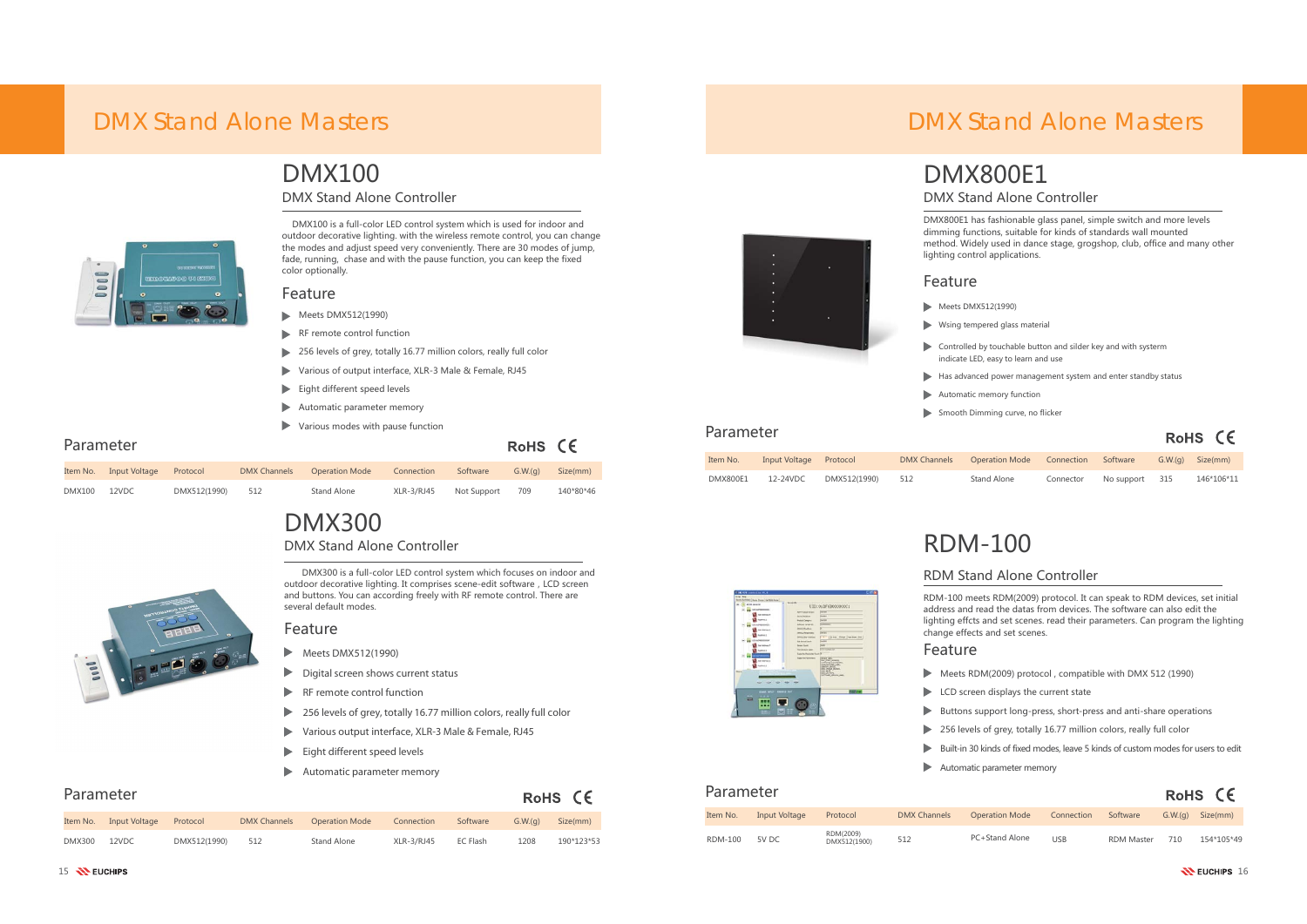- $\blacktriangleright$  Meets DMX512(1990)
- 
- 
- 
- 
- 

#### Feature

- 
- 
- 
- 
- 
- 

### DMX100DMX Stand Alone Controller

DMX100 is a full-color LED control system which is used for indoor and outdoor decorative lighting. with the wireless remote control, you can change the modes and adjust speed very conveniently. There are 30 modes of jump, fade, running, chase and with the pause function, you can keep the fixed color optionally.

#### Feature

#### Parameter

### Parameter

#### Feature

- $\blacktriangleright$  Meets DMX512(1990)
- $\blacktriangleright$  RF remote control function
- 256 levels of grey, totally 16.77 million colors, really full color
- ь Various of output interface, XLR-3 Male & Female, RJ45
- Eight different speed levels  $\blacktriangleright$
- Automatic parameter memory ь
- Various modes with pause function  $\blacktriangleright$

### DMX300DMX Stand Alone Controller

DMX300 is a full-color LED control system which focuses on indoor and outdoor decorative lighting. It comprises scene-edit software, LCD screen and buttons. You can according freely with RF remote control. There are several default modes.

| Parameter     |               |              |                     |                       |            |             | RoHS CE |           |
|---------------|---------------|--------------|---------------------|-----------------------|------------|-------------|---------|-----------|
| Item No.      | Input Voltage | Protocol     | <b>DMX Channels</b> | <b>Operation Mode</b> | Connection | Software    | G.W.(q) | Size(mm)  |
| <b>DMX100</b> | 12VDC         | DMX512(1990) | 512                 | Stand Alone           | XLR-3/RJ45 | Not Support | 709     | 140*80*46 |

- $\blacktriangleright$ Meets DMX512(1990)
- $\blacktriangleright$ Digital screen shows current status
- RF remote control function
- $\blacktriangleright$ 256 levels of grey, totally 16.77 million colors, really full color
- $\blacktriangleright$ Various output interface, XLR-3 Male & Female, RJ45
- Eight different speed levels
- $\blacktriangleright$ Automatic parameter memory

#### RoHS CE

 $RoHS$   $CF$ 

Parameter



## DMX Stand Alone Controller DMX800E1

DMX800E1 has fashionable glass panel, simple switch and more levels dimming functions, suitable for kinds of standards wall mounted method. Widely used in dance stage, grogshop, club, office and many other lighting control applications.

| Item No.      | Input Voltage | Protocol     | <b>DMX Channels</b> | <b>Operation Mode</b> | Connection | Software | G.W.(q) | Size(mm)   |
|---------------|---------------|--------------|---------------------|-----------------------|------------|----------|---------|------------|
| <b>DMX300</b> | 12VDC         | DMX512(1990) | 512                 | Stand Alone           | XLR-3/RJ45 | EC Flash | 1208    | 190*123*53 |



# RDM-100

### RDM Stand Alone Controller

| Parameter      |               |                           |                     |                       |            |                   |         | RoHS CE    |
|----------------|---------------|---------------------------|---------------------|-----------------------|------------|-------------------|---------|------------|
| Item No.       | Input Voltage | Protocol                  | <b>DMX Channels</b> | <b>Operation Mode</b> | Connection | Software          | G.W.(q) | Size(mm)   |
| <b>RDM-100</b> | 5V DC         | RDM(2009)<br>DMX512(1900) | 512                 | PC+Stand Alone        | <b>USB</b> | <b>RDM Master</b> | 710     | 154*105*49 |

| Item No.        | Input Voltage Protocol |              | <b>DMX Channels</b> | Operation Mode Connection |           | Software       | $G.W.(q)$ Size(mm) |
|-----------------|------------------------|--------------|---------------------|---------------------------|-----------|----------------|--------------------|
| <b>DMX800E1</b> | 12-24VDC               | DMX512(1990) | 512                 | Stand Alone               | Connector | No support 315 | 146*106*11         |

## DMX Stand Alone Masters



## DMX Stand Alone Masters

- 
- $\blacktriangleright$  Wsing tempered glass material
- $\blacktriangleright$  Controlled by touchable button and silder key and with systerm
	- indicate LED, easy to learn and use
- $\blacktriangleright$  Has advanced power management system and enter standby status
- Automatic memory function
- $\blacktriangleright$  Smooth Dimming curve, no flicker



RDM-100 meets RDM(2009) protocol. It can speak to RDM devices, set initial address and read the datas from devices. The software can also edit the lighting effcts and set scenes. read their parameters. Can program the lighting change effects and set scenes.

- Meets RDM(2009) protocol, compatible with DMX 512 (1990)
- $\blacktriangleright$  LCD screen displays the current state
- $\blacktriangleright$  Buttons support long-press, short-press and anti-share operations
- 256 levels of grey, totally 16.77 million colors, really full color
- Built-in 30 kinds of fixed modes, leave 5 kinds of custom modes for users to edit Automatic parameter memory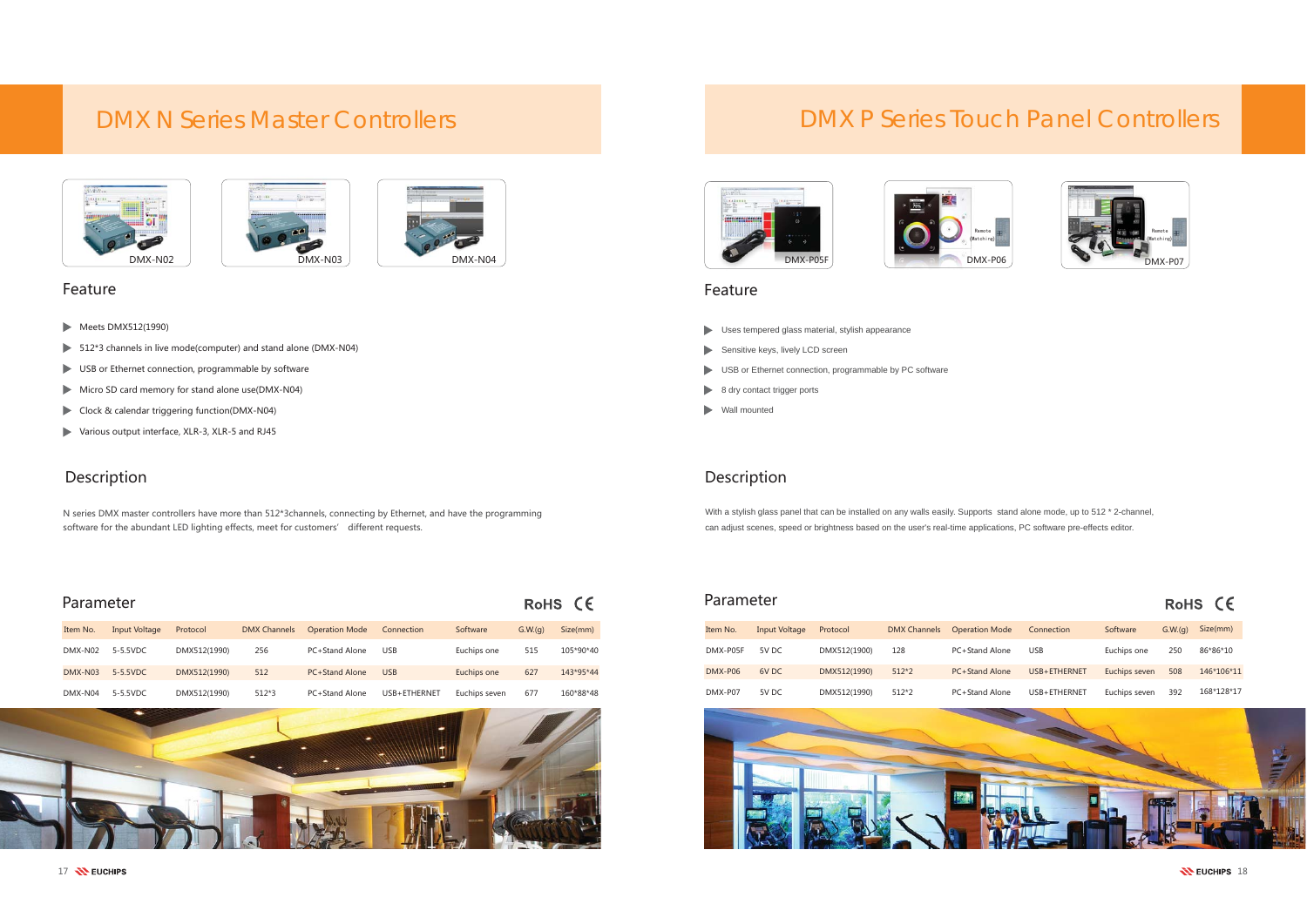- **Meets DMX512(1990)**
- $\blacktriangleright$  512\*3 channels in live mode(computer) and stand alone (DMX-N04)
- $\blacktriangleright$  USB or Ethernet connection, programmable by software
- Micro SD card memory for stand alone use(DMX-N04)
- Clock & calendar triggering function(DMX-N04)
- Various output interface, XLR-3, XLR-5 and RJ45

N series DMX master controllers have more than 512\*3channels, connecting by Ethernet, and have the programming software for the abundant LED lighting effects, meet for customers' different requests.

### Description Description





| Parameter        |                  |              |         |                                        |              |               |         | RoHS CE   |
|------------------|------------------|--------------|---------|----------------------------------------|--------------|---------------|---------|-----------|
| Item No.         | Input Voltage    | Protocol     |         | DMX Channels Operation Mode Connection |              | Software      | G.W.(a) | Size(mm)  |
|                  | DMX-N02 5-5.5VDC | DMX512(1990) | 256     | PC+Stand Alone                         | <b>USB</b>   | Euchips one   | 515     | 105*90*40 |
|                  | DMX-N03 5-5.5VDC | DMX512(1990) | 512     | <b>PC+Stand Alone</b>                  | <b>USB</b>   | Euchips one   | 627     | 143*95*44 |
| DMX-N04 5-5.5VDC |                  | DMX512(1990) | $512*3$ | PC+Stand Alone                         | USB+ETHERNET | Euchips seven | 677     | 160*88*48 |





#### e and the state of the state of the state of the state of the state of the state of the state of the state of the state of the state of the state of the state of the state of the state of the state of the state of the stat



With a stylish glass panel that can be installed on any walls easily. Supports stand alone mode, up to 512 \* 2-channel, can adjust scenes, speed or brightness based on the user's real-time applications, PC software pre-effects editor.

| Item No. | <b>Input Voltage</b> | Protocol     | <b>DMX Channels</b> | <b>Operation Mode</b> | Connection   | Software      | G.W.(q) | Size(mm)   |
|----------|----------------------|--------------|---------------------|-----------------------|--------------|---------------|---------|------------|
| DMX-P05F | 5V DC                | DMX512(1900) | 128                 | <b>PC+Stand Alone</b> | USB          | Euchips one   | 250     | 86*86*10   |
| DMX-P06  | 6V DC                | DMX512(1990) | $512*2$             | <b>PC+Stand Alone</b> | USB+ETHERNET | Euchips seven | 508     | 146*106*11 |
| DMX-P07  | 5V DC                | DMX512(1990) | $512*2$             | PC+Stand Alone        | USB+ETHERNET | Euchips seven | 392     | 168*128*17 |







#### RoHS CE

- Uses tempered glass material, stylish appearance
- Sensitive keys, lively LCD screen
- USB or Ethernet connection, programmable by PC software
- 8 dry contact trigger ports
- Wall mounted

## DMX N Series Master Controllers



## DMX P Series Touch Panel Controllers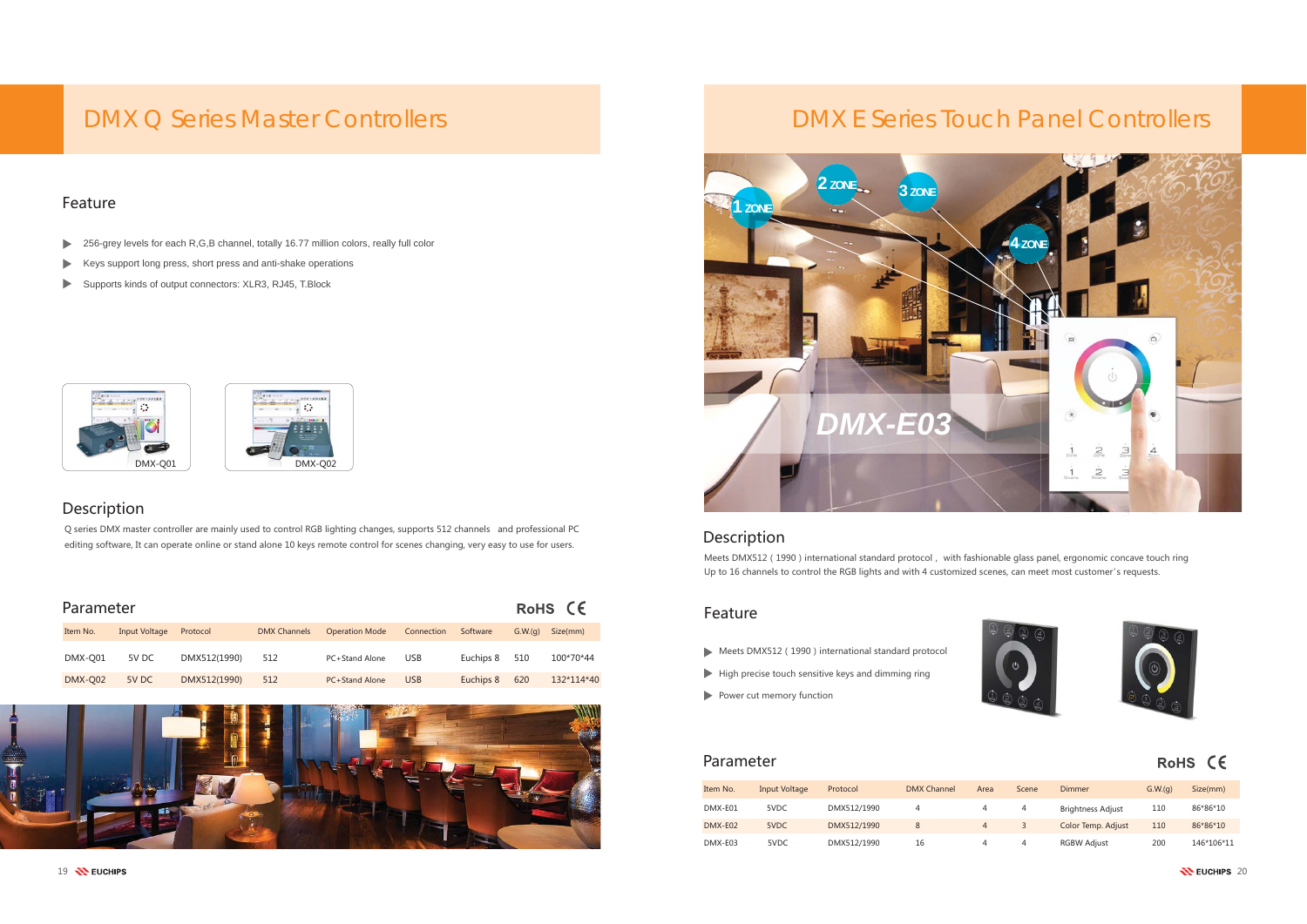#### Feature

- $\blacktriangleright$  Meets DMX512 (1990) international standard protocol
- $\blacktriangleright$  High precise touch sensitive keys and dimming ring
- $\blacktriangleright$  Power cut memory function

#### Parameter

#### Description

Q series DMX master controller are mainly used to control RGB lighting changes, supports 512 channels and professional PC editing software, It can operate online or stand alone 10 keys remote control for scenes changing, very easy to use for users.

#### Description

Meets DMX512 (1990) international standard protocol, with fashionable glass panel, ergonomic concave touch ring Up to 16 channels to control the RGB lights and with 4 customized scenes, can meet most customer's requests.



| Parameter      |               |              |                     |                       |            |           |         | RoHS CE    |
|----------------|---------------|--------------|---------------------|-----------------------|------------|-----------|---------|------------|
| Item No.       | Input Voltage | Protocol     | <b>DMX Channels</b> | <b>Operation Mode</b> | Connection | Software  | G.W.(q) | Size(mm)   |
| DMX-Q01        | 5V DC         | DMX512(1990) | 512                 | PC+Stand Alone        | <b>USB</b> | Euchips 8 | 510     | 100*70*44  |
| <b>DMX-Q02</b> | 5V DC         | DMX512(1990) | 512                 | <b>PC+Stand Alone</b> | <b>USB</b> | Euchips 8 | 620     | 132*114*40 |





| Item No. | Input Voltage | Protocol    | <b>DMX Channel</b> | Area           | Scene | Dimmer                   | G.W.(q) | Size(mm)   |
|----------|---------------|-------------|--------------------|----------------|-------|--------------------------|---------|------------|
| DMX-E01  | 5VDC          | DMX512/1990 |                    |                |       | <b>Brightness Adjust</b> | 110     | 86*86*10   |
| DMX-E02  | 5VDC          | DMX512/1990 | 8                  | $\overline{4}$ |       | Color Temp. Adjust       | 110     | 86*86*10   |
| DMX-E03  | 5VDC          | DMX512/1990 | 16                 | 4              |       | <b>RGBW Adjust</b>       | 200     | 146*106*11 |





#### RoHS CE

- ▶ 256-grey levels for each R,G,B channel, totally 16.77 million colors, really full color
- $\blacktriangleright$ Keys support long press, short press and anti-shake operations
- $\blacktriangleright$ Supports kinds of output connectors: XLR3, RJ45, T.Block



## DMX Q Series Master Controllers

## DMX E Series Touch Panel Controllers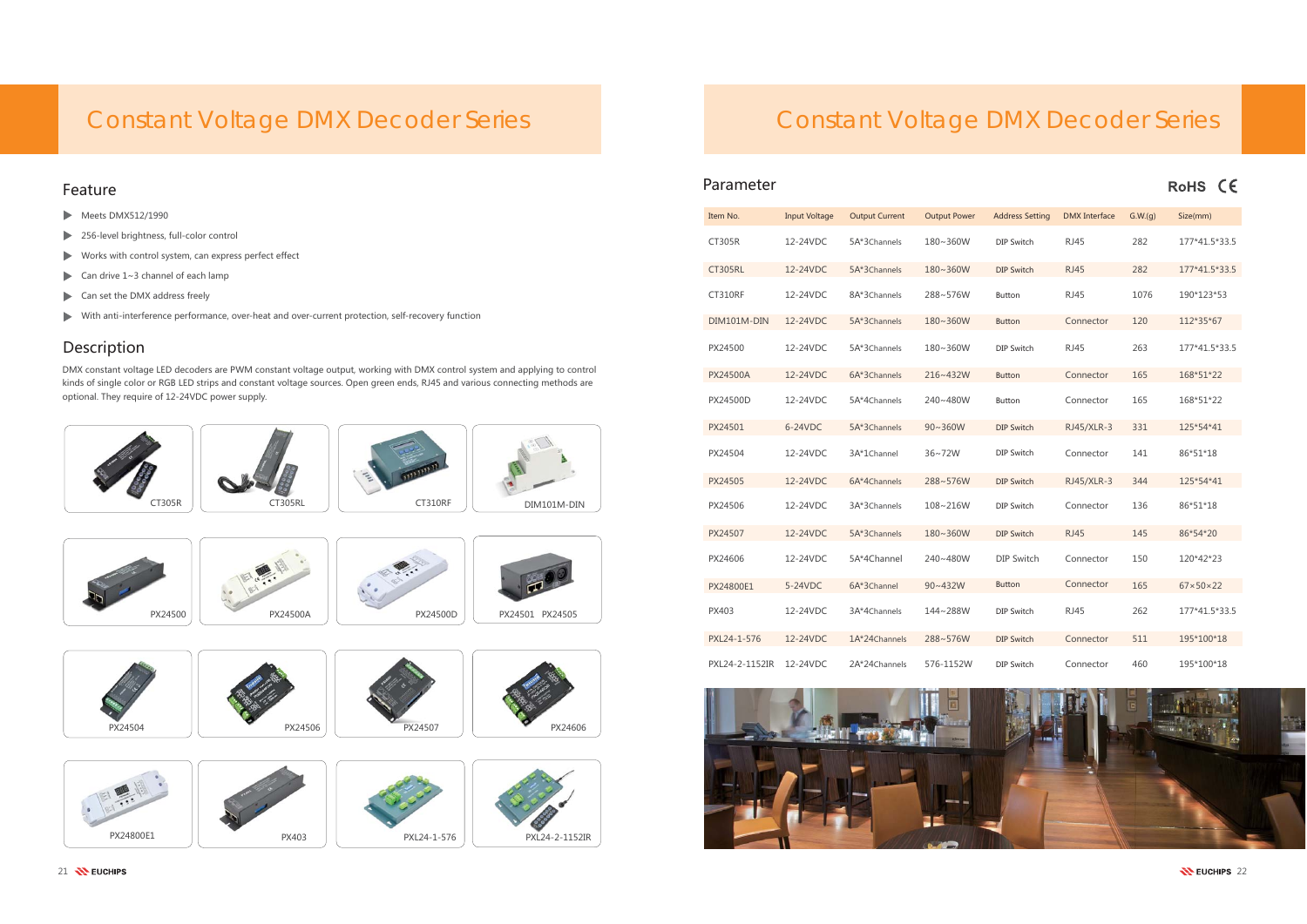- $\blacktriangleright$  Meets DMX512/1990
- 256-level brightness, full-color control  $\blacktriangleright$
- $\blacktriangleright$  Works with control system, can express perfect effect
- Can drive  $1~3$  channel of each lamp
- Can set the DMX address freely  $\blacktriangleright$
- $\blacktriangleright$  With anti-interference performance, over-heat and over-current protection, self-recovery function

### Description

DMX constant voltage LED decoders are PWM constant voltage output, working with DMX control system and applying to control kinds of single color or RGB LED strips and constant voltage sources. Open green ends, RJ45 and various connecting methods are optional. They require of 12-24VDC power supply.



# Constant Voltage DMX Decoder Series **Constant Voltage DMX Decoder Series**

| Item No.        | <b>Input Voltage</b> | <b>Output Current</b> | <b>Output Power</b> | <b>Address Setting</b> | <b>DMX</b> Interface | G.W.(q) | Size(mm)                 |
|-----------------|----------------------|-----------------------|---------------------|------------------------|----------------------|---------|--------------------------|
| <b>CT305R</b>   | 12-24VDC             | 5A*3Channels          | 180~360W            | DIP Switch             | <b>RJ45</b>          | 282     | 177*41.5*33.5            |
| <b>CT305RL</b>  | 12-24VDC             | 5A*3Channels          | 180~360W            | <b>DIP Switch</b>      | <b>RJ45</b>          | 282     | 177*41.5*33.5            |
| CT310RF         | 12-24VDC             | 8A*3Channels          | 288~576W            | <b>Button</b>          | <b>RJ45</b>          | 1076    | 190*123*53               |
| DIM101M-DIN     | 12-24VDC             | 5A*3Channels          | 180~360W            | <b>Button</b>          | Connector            | 120     | 112*35*67                |
| PX24500         | 12-24VDC             | 5A*3Channels          | 180~360W            | DIP Switch             | <b>RJ45</b>          | 263     | 177*41.5*33.5            |
| <b>PX24500A</b> | 12-24VDC             | 6A*3Channels          | 216~432W            | <b>Button</b>          | Connector            | 165     | 168*51*22                |
| PX24500D        | 12-24VDC             | 5A*4Channels          | 240~480W            | <b>Button</b>          | Connector            | 165     | 168*51*22                |
| PX24501         | 6-24VDC              | 5A*3Channels          | $90 - 360W$         | <b>DIP Switch</b>      | RJ45/XLR-3           | 331     | 125*54*41                |
| PX24504         | 12-24VDC             | 3A*1Channel           | 36~72W              | DIP Switch             | Connector            | 141     | 86*51*18                 |
| PX24505         | 12-24VDC             | 6A*4Channels          | 288~576W            | <b>DIP Switch</b>      | RJ45/XLR-3           | 344     | 125*54*41                |
| PX24506         | 12-24VDC             | 3A*3Channels          | 108~216W            | <b>DIP Switch</b>      | Connector            | 136     | 86*51*18                 |
| PX24507         | 12-24VDC             | 5A*3Channels          | 180~360W            | <b>DIP Switch</b>      | <b>RJ45</b>          | 145     | 86*54*20                 |
| PX24606         | 12-24VDC             | 5A*4Channel           | 240~480W            | DIP Switch             | Connector            | 150     | 120*42*23                |
| PX24800E1       | 5-24VDC              | 6A*3Channel           | $90 - 432W$         | <b>Button</b>          | Connector            | 165     | $67 \times 50 \times 22$ |
| PX403           | 12-24VDC             | 3A*4Channels          | 144~288W            | DIP Switch             | <b>RJ45</b>          | 262     | 177*41.5*33.5            |
| PXL24-1-576     | 12-24VDC             | 1A*24Channels         | 288~576W            | <b>DIP Switch</b>      | Connector            | 511     | 195*100*18               |
| PXL24-2-1152IR  | 12-24VDC             | 2A*24Channels         | 576-1152W           | DIP Switch             | Connector            | 460     | 195*100*18               |



### RoHS CE

|          | <b>Input Voltage</b> | <b>Output Current</b> | <b>Output Power</b> | <b>Address Setting</b> | <b>DMX</b> Interface | G.W.(q) | Size(mm)                 |
|----------|----------------------|-----------------------|---------------------|------------------------|----------------------|---------|--------------------------|
|          | 12-24VDC             | 5A*3Channels          | 180~360W            | <b>DIP Switch</b>      | <b>RJ45</b>          | 282     | 177*41.5*33.5            |
| L        | 12-24VDC             | 5A*3Channels          | 180~360W            | <b>DIP Switch</b>      | <b>RJ45</b>          | 282     | 177*41.5*33.5            |
| F        | 12-24VDC             | 8A*3Channels          | 288~576W            | <b>Button</b>          | RJ45                 | 1076    | 190*123*53               |
| M-DIN.   | 12-24VDC             | 5A*3Channels          | 180~360W            | <b>Button</b>          | Connector            | 120     | 112*35*67                |
| 0        | 12-24VDC             | 5A*3Channels          | 180~360W            | <b>DIP Switch</b>      | <b>RJ45</b>          | 263     | 177*41.5*33.5            |
| 0A       | 12-24VDC             | 6A*3Channels          | 216~432W            | <b>Button</b>          | Connector            | 165     | 168*51*22                |
| 0D       | 12-24VDC             | 5A*4Channels          | 240~480W            | <b>Button</b>          | Connector            | 165     | 168*51*22                |
| 1        | 6-24VDC              | 5A*3Channels          | $90 - 360W$         | <b>DIP Switch</b>      | RJ45/XLR-3           | 331     | 125*54*41                |
| 4        | 12-24VDC             | 3A*1Channel           | 36~72W              | <b>DIP Switch</b>      | Connector            | 141     | 86*51*18                 |
| 5        | 12-24VDC             | 6A*4Channels          | 288~576W            | <b>DIP Switch</b>      | RJ45/XLR-3           | 344     | 125*54*41                |
| 6        | 12-24VDC             | 3A*3Channels          | 108~216W            | <b>DIP Switch</b>      | Connector            | 136     | 86*51*18                 |
| 7        | 12-24VDC             | 5A*3Channels          | 180~360W            | <b>DIP Switch</b>      | <b>RJ45</b>          | 145     | 86*54*20                 |
| 6        | 12-24VDC             | 5A*4Channel           | 240~480W            | <b>DIP Switch</b>      | Connector            | 150     | 120*42*23                |
| 0E1      | 5-24VDC              | 6A*3Channel           | 90~432W             | <b>Button</b>          | Connector            | 165     | $67 \times 50 \times 22$ |
|          | 12-24VDC             | 3A*4Channels          | 144~288W            | <b>DIP Switch</b>      | RJ45                 | 262     | 177*41.5*33.5            |
| 1-576    | 12-24VDC             | 1A*24Channels         | 288~576W            | <b>DIP Switch</b>      | Connector            | 511     | 195*100*18               |
| 2-1152IR | 12-24VDC             | 2A*24Channels         | 576-1152W           | <b>DIP Switch</b>      | Connector            | 460     | 195*100*18               |

1 NEUCHIPS 22

#### Parameter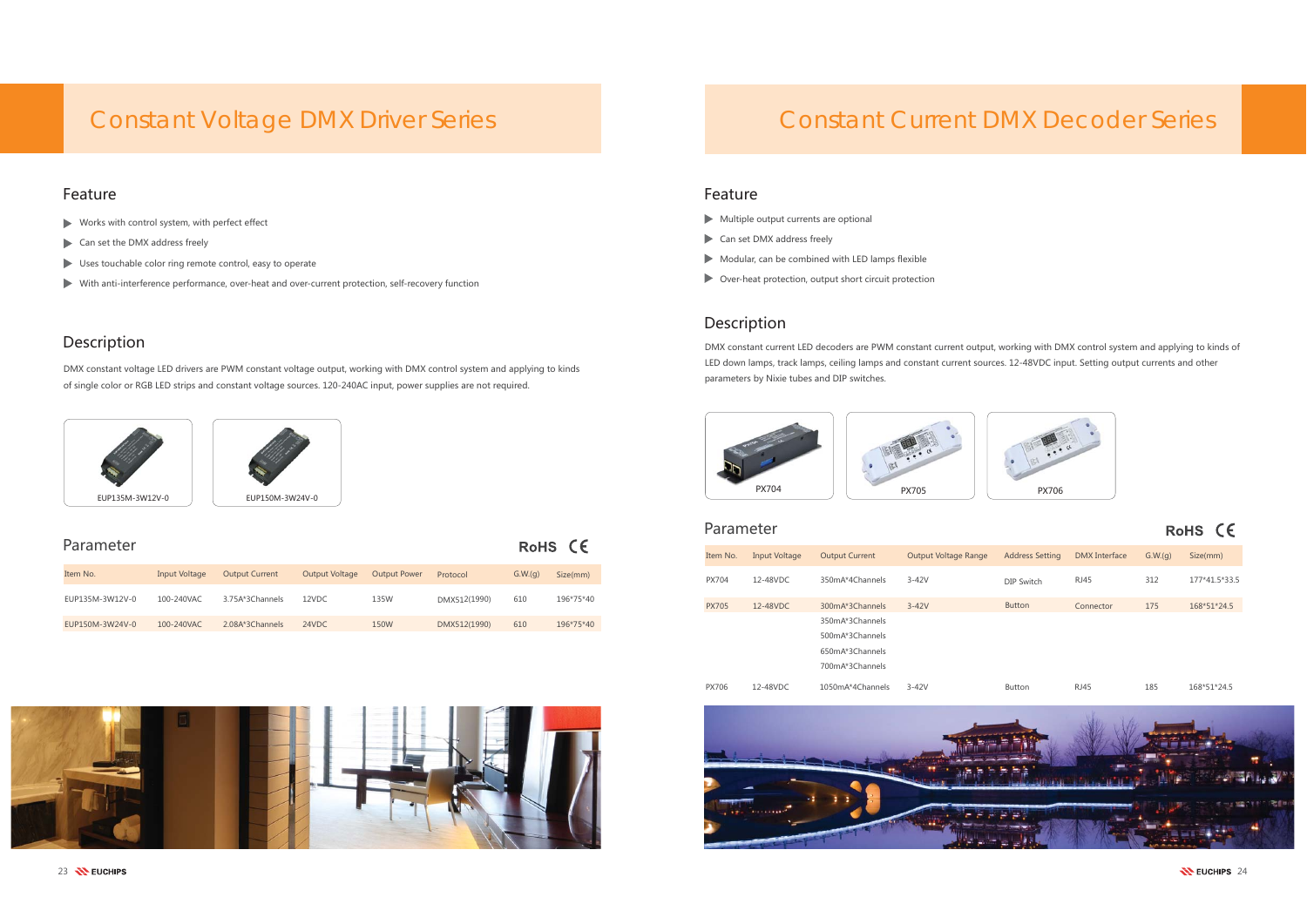- $\blacktriangleright$  Works with control system, with perfect effect
- Can set the DMX address freely
- $\blacktriangleright$  Uses touchable color ring remote control, easy to operate
- $\blacktriangleright$  With anti-interference performance, over-heat and over-current protection, self-recovery function

#### Parameter

### Description

DMX constant voltage LED drivers are PWM constant voltage output, working with DMX control system and applying to kinds of single color or RGB LED strips and constant voltage sources. 120-240AC input, power supplies are not required.



### Description

DMX constant current LED decoders are PWM constant current output, working with DMX control system and applying to kinds of LED down lamps, track lamps, ceiling lamps and constant current sources. 12-48VDC input. Setting output currents and other parameters by Nixie tubes and DIP switches.

| Item No.        | Input Voltage | <b>Output Current</b> | <b>Output Voltage</b> | <b>Output Power</b> | Protocol     | G.W.(q) | Size(mm)  |
|-----------------|---------------|-----------------------|-----------------------|---------------------|--------------|---------|-----------|
| EUP135M-3W12V-0 | 100-240VAC    | 3.75A*3Channels       | 12VDC                 | 135W                | DMX512(1990) | 610     | 196*75*40 |
| EUP150M-3W24V-0 | 100-240VAC    | 2.08A*3Channels       | 24VDC                 | 150W                | DMX512(1990) | 610     | 196*75*40 |



## Constant Current DMX Decoder Series

#### e and the state of the state of the state of the state of the state of the state of the state of the state of the state of the state of the state of the state of the state of the state of the state of the state of the stat

- $\blacktriangleright$  Multiple output currents are optional
- Can set DMX address freely
- $\triangleright$  Modular, can be combined with LED lamps flexible
- $\triangleright$  Over-heat protection, output short circuit protection



RoHS CE

| Parameter    |                      |                       |                             |                        |                      |         | $\epsilon$<br><b>RoHS</b> |
|--------------|----------------------|-----------------------|-----------------------------|------------------------|----------------------|---------|---------------------------|
| Item No.     | <b>Input Voltage</b> | <b>Output Current</b> | <b>Output Voltage Range</b> | <b>Address Setting</b> | <b>DMX</b> Interface | G.W.(q) | Size(mm)                  |
| <b>PX704</b> | 12-48VDC             | 350mA*4Channels       | $3 - 42V$                   | DIP Switch             | <b>RJ45</b>          | 312     | 177*41.5*33.5             |
| <b>PX705</b> | 12-48VDC             | 300mA*3Channels       | $3-42V$                     | <b>Button</b>          | Connector            | 175     | 168*51*24.5               |
|              |                      | 350mA*3Channels       |                             |                        |                      |         |                           |
|              |                      | 500mA*3Channels       |                             |                        |                      |         |                           |
|              |                      | 650mA*3Channels       |                             |                        |                      |         |                           |
|              |                      | 700mA*3Channels       |                             |                        |                      |         |                           |
| <b>PX706</b> | 12-48VDC             | 1050mA*4Channels      | $3 - 42V$                   | <b>Button</b>          | <b>RJ45</b>          | 185     | 168*51*24.5               |



 $24$  EUCHIPS 24 EUCHIPS 24

## Constant Voltage DMX Driver Series